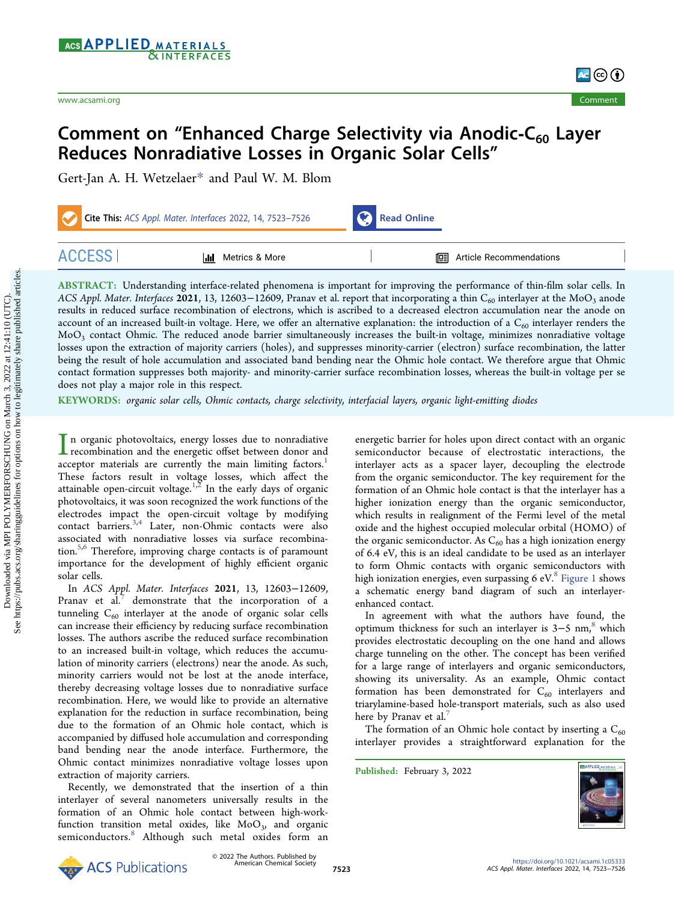

# Comment on "Enhanced Charge Selectivity via Anodic-C $_{60}$  Layer Reduces Nonradiative Losses in Organic Solar Cells"

[Gert-Jan A. H. Wetzelaer](https://pubs.acs.org/action/doSearch?field1=Contrib&text1="Gert-Jan+A.+H.+Wetzelaer"&field2=AllField&text2=&publication=&accessType=allContent&Earliest=&ref=pdf)[\\*](#page-2-0) [and Paul W. M. Blom](https://pubs.acs.org/action/doSearch?field1=Contrib&text1="Paul+W.+M.+Blom"&field2=AllField&text2=&publication=&accessType=allContent&Earliest=&ref=pdf)

| Cite This: ACS Appl. Mater. Interfaces 2022, 14, 7523-7526 |                           | Read Online                      |  |
|------------------------------------------------------------|---------------------------|----------------------------------|--|
| <b>ACCESS</b>                                              | <b>III</b> Metrics & More | <b>I</b> Article Recommendations |  |

ABSTRACT: Understanding interface-related phenomena is important for improving the performance of thin-film solar cells. In ACS Appl. Mater. Interfaces 2021, 13, 12603-12609, Pranav et al. report that incorporating a thin C<sub>60</sub> interlayer at the MoO<sub>3</sub> anode results in reduced surface recombination of electrons, which is ascribed to a decreased electron accumulation near the anode on account of an increased built-in voltage. Here, we offer an alternative explanation: the introduction of a  $C_{60}$  interlayer renders the MoO3 contact Ohmic. The reduced anode barrier simultaneously increases the built-in voltage, minimizes nonradiative voltage losses upon the extraction of majority carriers (holes), and suppresses minority-carrier (electron) surface recombination, the latter being the result of hole accumulation and associated band bending near the Ohmic hole contact. We therefore argue that Ohmic contact formation suppresses both majority- and minority-carrier surface recombination losses, whereas the built-in voltage per se does not play a major role in this respect.

KEYWORDS: organic solar cells, Ohmic contacts, charge selectivity, interfacial layers, organic light-emitting diodes

In organic photovoltaics, energy losses due to nonradiative<br>recombination and the energetic offset between donor and<br>acceptor, materials, are currently the main limiting factors acceptor materials are currently the main limiting factors.<sup>[1](#page-2-0)</sup> These factors result in voltage losses, which affect the attainable open-circuit voltage.<sup>[1,2](#page-2-0)</sup> In the early days of organic photovoltaics, it was soon recognized the work functions of the electrodes impact the open-circuit voltage by modifying contact barriers.[3](#page-2-0),[4](#page-2-0) Later, non-Ohmic contacts were also associated with nonradiative losses via surface recombina-tion.<sup>[5](#page-2-0),[6](#page-2-0)</sup> Therefore, improving charge contacts is of paramount importance for the development of highly efficient organic solar cells.

In ACS Appl. Mater. Interfaces 2021, 13, 12603−12609, Pranav et al. $'$  demonstrate that the incorporation of a tunneling  $C_{60}$  interlayer at the anode of organic solar cells can increase their efficiency by reducing surface recombination losses. The authors ascribe the reduced surface recombination to an increased built-in voltage, which reduces the accumulation of minority carriers (electrons) near the anode. As such, minority carriers would not be lost at the anode interface, thereby decreasing voltage losses due to nonradiative surface recombination. Here, we would like to provide an alternative explanation for the reduction in surface recombination, being due to the formation of an Ohmic hole contact, which is accompanied by diffused hole accumulation and corresponding band bending near the anode interface. Furthermore, the Ohmic contact minimizes nonradiative voltage losses upon extraction of majority carriers.

Recently, we demonstrated that the insertion of a thin interlayer of several nanometers universally results in the formation of an Ohmic hole contact between high-workfunction transition metal oxides, like  $MoO<sub>3</sub>$ , and organic semiconductors.<sup>[8](#page-2-0)</sup> Although such metal oxides form an energetic barrier for holes upon direct contact with an organic semiconductor because of electrostatic interactions, the interlayer acts as a spacer layer, decoupling the electrode from the organic semiconductor. The key requirement for the formation of an Ohmic hole contact is that the interlayer has a higher ionization energy than the organic semiconductor, which results in realignment of the Fermi level of the metal oxide and the highest occupied molecular orbital (HOMO) of the organic semiconductor. As  $\mathrm C_{60}$  has a high ionization energy of 6.4 eV, this is an ideal candidate to be used as an interlayer to form Ohmic contacts with organic semiconductors with high ionization energies, even surpassing 6 eV. $8$  [Figure 1](#page-1-0) shows a schematic energy band diagram of such an interlayerenhanced contact.

In agreement with what the authors have found, the optimum thickness for such an interlayer is 3–5 nm,<sup>8</sup> which provides electrostatic decoupling on the one hand and allows charge tunneling on the other. The concept has been verified for a large range of interlayers and organic semiconductors, showing its universality. As an example, Ohmic contact formation has been demonstrated for  $C_{60}$  interlayers and triarylamine-based hole-transport materials, such as also used here by Pranav et al.

The formation of an Ohmic hole contact by inserting a  $C_{60}$ interlayer provides a straightforward explanation for the

Published: February 3, 2022



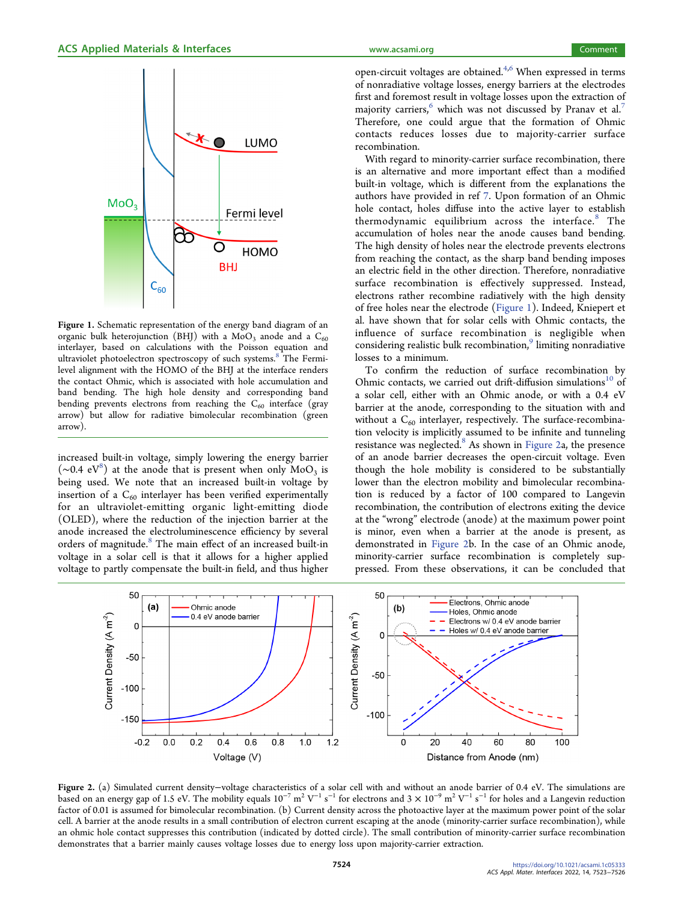<span id="page-1-0"></span>

Figure 1. Schematic representation of the energy band diagram of an organic bulk heterojunction (BHJ) with a MoO<sub>3</sub> anode and a  $C_{60}$ interlayer, based on calculations with the Poisson equation and ultraviolet photoelectron spectroscopy of such systems.<sup>[8](#page-2-0)</sup> The Fermilevel alignment with the HOMO of the BHJ at the interface renders the contact Ohmic, which is associated with hole accumulation and band bending. The high hole density and corresponding band bending prevents electrons from reaching the  $C_{60}$  interface (gray arrow) but allow for radiative bimolecular recombination (green arrow).

increased built-in voltage, simply lowering the energy barrier  $(\sim 0.4 \text{ eV}^8)$  $(\sim 0.4 \text{ eV}^8)$  $(\sim 0.4 \text{ eV}^8)$  at the anode that is present when only MoO<sub>3</sub> is being used. We note that an increased built-in voltage by insertion of a  $C_{60}$  interlayer has been verified experimentally for an ultraviolet-emitting organic light-emitting diode (OLED), where the reduction of the injection barrier at the anode increased the electroluminescence efficiency by several orders of magnitude.<sup>[8](#page-2-0)</sup> The main effect of an increased built-in voltage in a solar cell is that it allows for a higher applied voltage to partly compensate the built-in field, and thus higher open-circuit voltages are obtained. $4,6$  When expressed in terms of nonradiative voltage losses, energy barriers at the electrodes first and foremost result in voltage losses upon the extraction of majority carriers,<sup>[6](#page-2-0)</sup> which was not discussed by Pranav et al.<sup>[7](#page-2-0)</sup> Therefore, one could argue that the formation of Ohmic contacts reduces losses due to majority-carrier surface recombination.

With regard to minority-carrier surface recombination, there is an alternative and more important effect than a modified built-in voltage, which is different from the explanations the authors have provided in ref [7](#page-2-0). Upon formation of an Ohmic hole contact, holes diffuse into the active layer to establish thermodynamic equilibrium across the interface.<sup>[8](#page-2-0)</sup> The accumulation of holes near the anode causes band bending. The high density of holes near the electrode prevents electrons from reaching the contact, as the sharp band bending imposes an electric field in the other direction. Therefore, nonradiative surface recombination is effectively suppressed. Instead, electrons rather recombine radiatively with the high density of free holes near the electrode (Figure 1). Indeed, Kniepert et al. have shown that for solar cells with Ohmic contacts, the influence of surface recombination is negligible when considering realistic bulk recombination,<sup>9</sup> limiting nonradiative losses to a minimum.

To confirm the reduction of surface recombination by Ohmic contacts, we carried out drift-diffusion simulations<sup>[10](#page-2-0)</sup> of a solar cell, either with an Ohmic anode, or with a 0.4 eV barrier at the anode, corresponding to the situation with and without a  $C_{60}$  interlayer, respectively. The surface-recombination velocity is implicitly assumed to be infinite and tunneling resistance was neglected.<sup>[8](#page-2-0)</sup> As shown in Figure 2a, the presence of an anode barrier decreases the open-circuit voltage. Even though the hole mobility is considered to be substantially lower than the electron mobility and bimolecular recombination is reduced by a factor of 100 compared to Langevin recombination, the contribution of electrons exiting the device at the "wrong" electrode (anode) at the maximum power point is minor, even when a barrier at the anode is present, as demonstrated in Figure 2b. In the case of an Ohmic anode, minority-carrier surface recombination is completely suppressed. From these observations, it can be concluded that



Figure 2. (a) Simulated current density−voltage characteristics of a solar cell with and without an anode barrier of 0.4 eV. The simulations are based on an energy gap of 1.5 eV. The mobility equals 10<sup>−7</sup> m<sup>2</sup> V<sup>−1</sup> s<sup>−1</sup> for electrons and 3 × 10<sup>−9</sup> m<sup>2</sup> V<sup>−1</sup> s<sup>−1</sup> for holes and a Langevin reduction factor of 0.01 is assumed for bimolecular recombination. (b) Current density across the photoactive layer at the maximum power point of the solar cell. A barrier at the anode results in a small contribution of electron current escaping at the anode (minority-carrier surface recombination), while an ohmic hole contact suppresses this contribution (indicated by dotted circle). The small contribution of minority-carrier surface recombination demonstrates that a barrier mainly causes voltage losses due to energy loss upon majority-carrier extraction.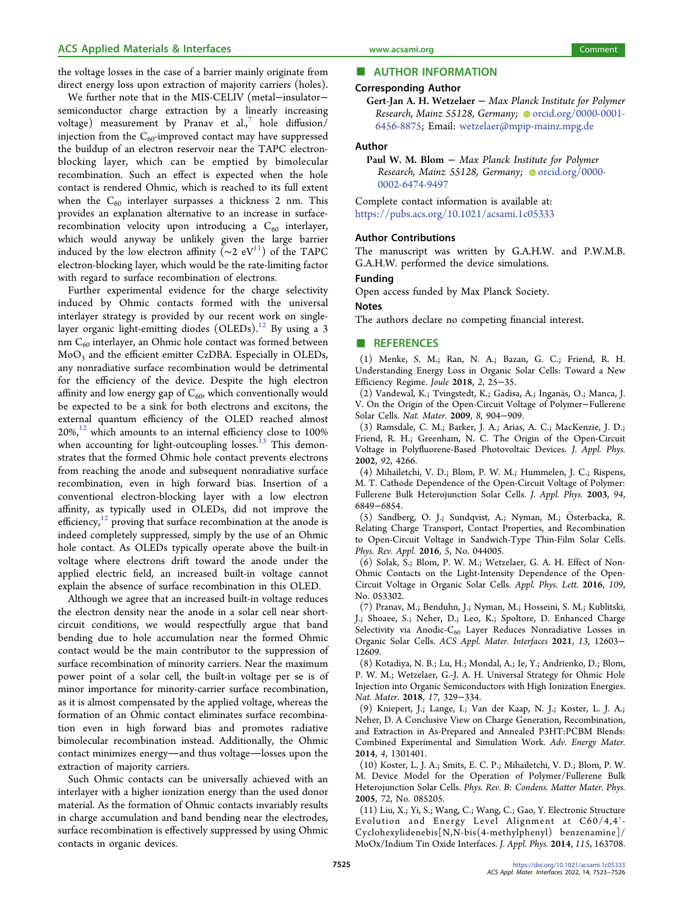<span id="page-2-0"></span>the voltage losses in the case of a barrier mainly originate from direct energy loss upon extraction of majority carriers (holes).

We further note that in the MIS-CELIV (metal−insulator− semiconductor charge extraction by a linearly increasing voltage) measurement by Pranav et al., $^7$  hole diffusion/ injection from the  $C_{60}$ -improved contact may have suppressed the buildup of an electron reservoir near the TAPC electronblocking layer, which can be emptied by bimolecular recombination. Such an effect is expected when the hole contact is rendered Ohmic, which is reached to its full extent when the  $C_{60}$  interlayer surpasses a thickness 2 nm. This provides an explanation alternative to an increase in surfacerecombination velocity upon introducing a  $C_{60}$  interlayer, which would anyway be unlikely given the large barrier induced by the low electron affinity ( $\sim$ 2 eV<sup>11</sup>) of the TAPC electron-blocking layer, which would be the rate-limiting factor with regard to surface recombination of electrons.

Further experimental evidence for the charge selectivity induced by Ohmic contacts formed with the universal interlayer strategy is provided by our recent work on single-layer organic light-emitting diodes (OLEDs).<sup>[12](#page-3-0)</sup> By using a 3 nm  $C_{60}$  interlayer, an Ohmic hole contact was formed between MoO<sub>3</sub> and the efficient emitter CzDBA. Especially in OLEDs, any nonradiative surface recombination would be detrimental for the efficiency of the device. Despite the high electron affinity and low energy gap of  $C_{60}$ , which conventionally would be expected to be a sink for both electrons and excitons, the external quantum efficiency of the OLED reached almost  $20\%$ ,<sup>12</sup> which amounts to an internal efficiency close to 100% when accounting for light-outcoupling losses. $13$  This demonstrates that the formed Ohmic hole contact prevents electrons from reaching the anode and subsequent nonradiative surface recombination, even in high forward bias. Insertion of a conventional electron-blocking layer with a low electron affinity, as typically used in OLEDs, did not improve the efficiency, $12$  proving that surface recombination at the anode is indeed completely suppressed, simply by the use of an Ohmic hole contact. As OLEDs typically operate above the built-in voltage where electrons drift toward the anode under the applied electric field, an increased built-in voltage cannot explain the absence of surface recombination in this OLED.

Although we agree that an increased built-in voltage reduces the electron density near the anode in a solar cell near shortcircuit conditions, we would respectfully argue that band bending due to hole accumulation near the formed Ohmic contact would be the main contributor to the suppression of surface recombination of minority carriers. Near the maximum power point of a solar cell, the built-in voltage per se is of minor importance for minority-carrier surface recombination, as it is almost compensated by the applied voltage, whereas the formation of an Ohmic contact eliminates surface recombination even in high forward bias and promotes radiative bimolecular recombination instead. Additionally, the Ohmic contact minimizes energy—and thus voltage—losses upon the extraction of majority carriers.

Such Ohmic contacts can be universally achieved with an interlayer with a higher ionization energy than the used donor material. As the formation of Ohmic contacts invariably results in charge accumulation and band bending near the electrodes, surface recombination is effectively suppressed by using Ohmic contacts in organic devices.

# ■ www.acsami.org<br>■ AUTHOR INFORMATION

## Corresponding Author

Gert-Jan A. H. Wetzelaer - Max Planck Institute for Polymer Research, Mainz 55128, Germany; O [orcid.org/0000-0001-](https://orcid.org/0000-0001-6456-8875) [6456-8875](https://orcid.org/0000-0001-6456-8875); Email: [wetzelaer@mpip-mainz.mpg.de](mailto:wetzelaer@mpip-mainz.mpg.de)

#### Author

Paul W. M. Blom − Max Planck Institute for Polymer Research, Mainz 55128, Germany; [orcid.org/0000-](https://orcid.org/0000-0002-6474-9497) [0002-6474-9497](https://orcid.org/0000-0002-6474-9497)

Complete contact information is available at: [https://pubs.acs.org/10.1021/acsami.1c05333](https://pubs.acs.org/doi/10.1021/acsami.1c05333?ref=pdf)

#### Author Contributions

The manuscript was written by G.A.H.W. and P.W.M.B. G.A.H.W. performed the device simulations.

#### Funding

Open access funded by Max Planck Society.

### Notes

The authors declare no competing financial interest.

### ■ REFERENCES

(1) Menke, S. M.; Ran, N. A.; Bazan, G. C.; Friend, R. H. [Understanding Energy Loss in Organic Solar Cells: Toward a New](https://doi.org/10.1016/j.joule.2017.09.020) [Efficiency Regime.](https://doi.org/10.1016/j.joule.2017.09.020) Joule 2018, 2, 25−35.

(2) Vandewal, K.; Tvingstedt, K.; Gadisa, A.; Inganäs, O.; Manca, J. V. [On the Origin of the Open-Circuit Voltage of Polymer](https://doi.org/10.1038/nmat2548)−Fullerene [Solar Cells.](https://doi.org/10.1038/nmat2548) Nat. Mater. 2009, 8, 904−909.

(3) Ramsdale, C. M.; Barker, J. A.; Arias, A. C.; MacKenzie, J. D.; Friend, R. H.; Greenham, N. C[. The Origin of the Open-Circuit](https://doi.org/10.1063/1.1506385) [Voltage in Polyfluorene-Based Photovoltaic Devices.](https://doi.org/10.1063/1.1506385) J. Appl. Phys. 2002, 92, 4266.

(4) Mihailetchi, V. D.; Blom, P. W. M.; Hummelen, J. C.; Rispens, M. T[. Cathode Dependence of the Open-Circuit Voltage of Polymer:](https://doi.org/10.1063/1.1620683) [Fullerene Bulk Heterojunction Solar Cells.](https://doi.org/10.1063/1.1620683) J. Appl. Phys. 2003, 94, 6849−6854.

(5) Sandberg, O. J.; Sundqvist, A.; Nyman, M.; Ö sterbacka, R. [Relating Charge Transport, Contact Properties, and Recombination](https://doi.org/10.1103/PhysRevApplied.5.044005) [to Open-Circuit Voltage in Sandwich-Type Thin-Film Solar Cells.](https://doi.org/10.1103/PhysRevApplied.5.044005) Phys. Rev. Appl. 2016, 5, No. 044005.

(6) Solak, S.; Blom, P. W. M.; Wetzelaer, G. A. H[. Effect of Non-](https://doi.org/10.1063/1.4960151)[Ohmic Contacts on the Light-Intensity Dependence of the Open-](https://doi.org/10.1063/1.4960151)[Circuit Voltage in Organic Solar Cells.](https://doi.org/10.1063/1.4960151) Appl. Phys. Lett. 2016, 109, No. 053302.

(7) Pranav, M.; Benduhn, J.; Nyman, M.; Hosseini, S. M.; Kublitski, J.; Shoaee, S.; Neher, D.; Leo, K.; Spoltore, D[. Enhanced Charge](https://doi.org/10.1021/acsami.1c00049?urlappend=%3Fref%3DPDF&jav=VoR&rel=cite-as) Selectivity via Anodic- $C_{60}$  [Layer Reduces Nonradiative Losses in](https://doi.org/10.1021/acsami.1c00049?urlappend=%3Fref%3DPDF&jav=VoR&rel=cite-as) [Organic Solar Cells.](https://doi.org/10.1021/acsami.1c00049?urlappend=%3Fref%3DPDF&jav=VoR&rel=cite-as) ACS Appl. Mater. Interfaces 2021, 13, 12603− 12609.

(8) Kotadiya, N. B.; Lu, H.; Mondal, A.; Ie, Y.; Andrienko, D.; Blom, P. W. M.; Wetzelaer, G.-J. A. H. [Universal Strategy for Ohmic Hole](https://doi.org/10.1038/s41563-018-0022-8) [Injection into Organic Semiconductors with High Ionization Energies.](https://doi.org/10.1038/s41563-018-0022-8) Nat. Mater. 2018, 17, 329−334.

(9) Kniepert, J.; Lange, I.; Van der Kaap, N. J.; Koster, L. J. A.; Neher, D[. A Conclusive View on Charge Generation, Recombination,](https://doi.org/10.1002/aenm.201301401) [and Extraction in As-Prepared and Annealed P3HT:PCBM Blends:](https://doi.org/10.1002/aenm.201301401) [Combined Experimental and Simulation Work.](https://doi.org/10.1002/aenm.201301401) Adv. Energy Mater. 2014, 4, 1301401.

(10) Koster, L. J. A.; Smits, E. C. P.; Mihailetchi, V. D.; Blom, P. W. M. [Device Model for the Operation of Polymer/Fullerene Bulk](https://doi.org/10.1103/PhysRevB.72.085205) [Heterojunction Solar Cells.](https://doi.org/10.1103/PhysRevB.72.085205) Phys. Rev. B: Condens. Matter Mater. Phys. 2005, 72, No. 085205.

(11) Liu, X.; Yi, S.; Wang, C.; Wang, C.; Gao, Y. [Electronic Structure](https://doi.org/10.1063/1.4873959) [Evolution and Energy Level Alignment at C60/4,4](https://doi.org/10.1063/1.4873959)′- [Cyclohexylidenebis\[N,N-bis\(4-methylphenyl\) benzenamine\]/](https://doi.org/10.1063/1.4873959) [MoOx/Indium Tin Oxide Interfaces.](https://doi.org/10.1063/1.4873959) J. Appl. Phys. 2014, 115, 163708.